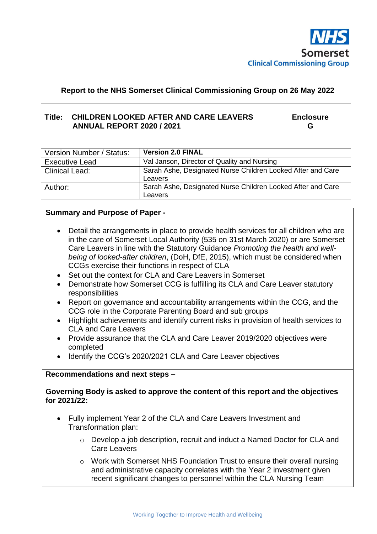

### **Report to the NHS Somerset Clinical Commissioning Group on 26 May 2022**

#### **Title: CHILDREN LOOKED AFTER AND CARE LEAVERS ANNUAL REPORT 2020 / 2021**

**Enclosure G**

| Version Number / Status: | <b>Version 2.0 FINAL</b>                                               |
|--------------------------|------------------------------------------------------------------------|
| <b>Executive Lead</b>    | Val Janson, Director of Quality and Nursing                            |
| <b>Clinical Lead:</b>    | Sarah Ashe, Designated Nurse Children Looked After and Care<br>Leavers |
| Author:                  | Sarah Ashe, Designated Nurse Children Looked After and Care<br>Leavers |

#### **Summary and Purpose of Paper -**

- Detail the arrangements in place to provide health services for all children who are in the care of Somerset Local Authority (535 on 31st March 2020) or are Somerset Care Leavers in line with the Statutory Guidance *Promoting the health and wellbeing of looked-after children*, (DoH, DfE, 2015), which must be considered when CCGs exercise their functions in respect of CLA
- Set out the context for CLA and Care Leavers in Somerset
- Demonstrate how Somerset CCG is fulfilling its CLA and Care Leaver statutory responsibilities
- Report on governance and accountability arrangements within the CCG, and the CCG role in the Corporate Parenting Board and sub groups
- Highlight achievements and identify current risks in provision of health services to CLA and Care Leavers
- Provide assurance that the CLA and Care Leaver 2019/2020 objectives were completed
- Identify the CCG's 2020/2021 CLA and Care Leaver objectives

#### **Recommendations and next steps –**

**Governing Body is asked to approve the content of this report and the objectives for 2021/22:**

- Fully implement Year 2 of the CLA and Care Leavers Investment and Transformation plan:
	- o Develop a job description, recruit and induct a Named Doctor for CLA and Care Leavers
	- o Work with Somerset NHS Foundation Trust to ensure their overall nursing and administrative capacity correlates with the Year 2 investment given recent significant changes to personnel within the CLA Nursing Team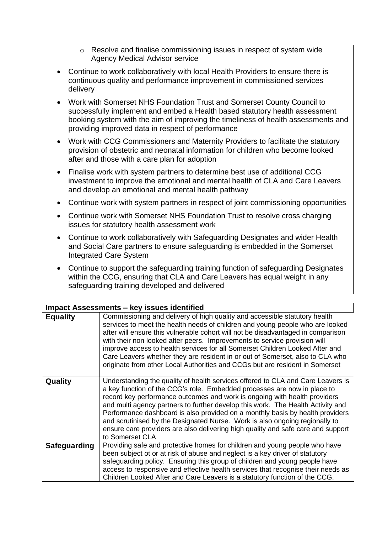- o Resolve and finalise commissioning issues in respect of system wide Agency Medical Advisor service
- Continue to work collaboratively with local Health Providers to ensure there is continuous quality and performance improvement in commissioned services delivery
- Work with Somerset NHS Foundation Trust and Somerset County Council to successfully implement and embed a Health based statutory health assessment booking system with the aim of improving the timeliness of health assessments and providing improved data in respect of performance
- Work with CCG Commissioners and Maternity Providers to facilitate the statutory provision of obstetric and neonatal information for children who become looked after and those with a care plan for adoption
- Finalise work with system partners to determine best use of additional CCG investment to improve the emotional and mental health of CLA and Care Leavers and develop an emotional and mental health pathway
- Continue work with system partners in respect of joint commissioning opportunities
- Continue work with Somerset NHS Foundation Trust to resolve cross charging issues for statutory health assessment work
- Continue to work collaboratively with Safeguarding Designates and wider Health and Social Care partners to ensure safeguarding is embedded in the Somerset Integrated Care System
- Continue to support the safeguarding training function of safeguarding Designates within the CCG, ensuring that CLA and Care Leavers has equal weight in any safeguarding training developed and delivered

| <b>Impact Assessments - key issues identified</b> |                                                                                                                                                                                                                                                                                                                                                                                                                                                                                                                                                                                                    |  |
|---------------------------------------------------|----------------------------------------------------------------------------------------------------------------------------------------------------------------------------------------------------------------------------------------------------------------------------------------------------------------------------------------------------------------------------------------------------------------------------------------------------------------------------------------------------------------------------------------------------------------------------------------------------|--|
| <b>Equality</b>                                   | Commissioning and delivery of high quality and accessible statutory health<br>services to meet the health needs of children and young people who are looked<br>after will ensure this vulnerable cohort will not be disadvantaged in comparison<br>with their non looked after peers. Improvements to service provision will<br>improve access to health services for all Somerset Children Looked After and<br>Care Leavers whether they are resident in or out of Somerset, also to CLA who<br>originate from other Local Authorities and CCGs but are resident in Somerset                      |  |
| Quality                                           | Understanding the quality of health services offered to CLA and Care Leavers is<br>a key function of the CCG's role. Embedded processes are now in place to<br>record key performance outcomes and work is ongoing with health providers<br>and multi agency partners to further develop this work. The Health Activity and<br>Performance dashboard is also provided on a monthly basis by health providers<br>and scrutinised by the Designated Nurse. Work is also ongoing regionally to<br>ensure care providers are also delivering high quality and safe care and support<br>to Somerset CLA |  |
| <b>Safeguarding</b>                               | Providing safe and protective homes for children and young people who have<br>been subject ot or at risk of abuse and neglect is a key driver of statutory<br>safeguarding policy. Ensuring this group of children and young people have<br>access to responsive and effective health services that recognise their needs as<br>Children Looked After and Care Leavers is a statutory function of the CCG.                                                                                                                                                                                         |  |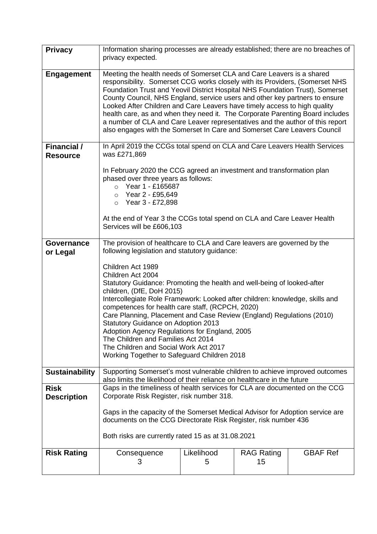| <b>Privacy</b>                        | Information sharing processes are already established; there are no breaches of<br>privacy expected.                                                                                                                                                                                                                                                                                                                                                                                                                                                                                                                                             |                 |                         |                 |
|---------------------------------------|--------------------------------------------------------------------------------------------------------------------------------------------------------------------------------------------------------------------------------------------------------------------------------------------------------------------------------------------------------------------------------------------------------------------------------------------------------------------------------------------------------------------------------------------------------------------------------------------------------------------------------------------------|-----------------|-------------------------|-----------------|
| <b>Engagement</b>                     | Meeting the health needs of Somerset CLA and Care Leavers is a shared<br>responsibility. Somerset CCG works closely with its Providers, (Somerset NHS<br>Foundation Trust and Yeovil District Hospital NHS Foundation Trust), Somerset<br>County Council, NHS England, service users and other key partners to ensure<br>Looked After Children and Care Leavers have timely access to high quality<br>health care, as and when they need it. The Corporate Parenting Board includes<br>a number of CLA and Care Leaver representatives and the author of this report<br>also engages with the Somerset In Care and Somerset Care Leavers Council |                 |                         |                 |
| <b>Financial /</b><br><b>Resource</b> | In April 2019 the CCGs total spend on CLA and Care Leavers Health Services<br>was £271,869                                                                                                                                                                                                                                                                                                                                                                                                                                                                                                                                                       |                 |                         |                 |
|                                       | In February 2020 the CCG agreed an investment and transformation plan<br>phased over three years as follows:<br>$\circ$ Year 1 - £165687<br>$\circ$ Year 2 - £95,649<br>$\circ$ Year 3 - £72,898<br>At the end of Year 3 the CCGs total spend on CLA and Care Leaver Health<br>Services will be £606,103                                                                                                                                                                                                                                                                                                                                         |                 |                         |                 |
| Governance<br>or Legal                | The provision of healthcare to CLA and Care leavers are governed by the<br>following legislation and statutory guidance:                                                                                                                                                                                                                                                                                                                                                                                                                                                                                                                         |                 |                         |                 |
|                                       | Children Act 1989<br>Children Act 2004<br>Statutory Guidance: Promoting the health and well-being of looked-after<br>children, (DfE, DoH 2015)<br>Intercollegiate Role Framework: Looked after children: knowledge, skills and<br>competences for health care staff, (RCPCH, 2020)<br>Care Planning, Placement and Case Review (England) Regulations (2010)<br><b>Statutory Guidance on Adoption 2013</b><br>Adoption Agency Regulations for England, 2005<br>The Children and Families Act 2014<br>The Children and Social Work Act 2017<br>Working Together to Safeguard Children 2018                                                         |                 |                         |                 |
| <b>Sustainability</b>                 | Supporting Somerset's most vulnerable children to achieve improved outcomes<br>also limits the likelihood of their reliance on healthcare in the future                                                                                                                                                                                                                                                                                                                                                                                                                                                                                          |                 |                         |                 |
| <b>Risk</b><br><b>Description</b>     | Gaps in the timeliness of health services for CLA are documented on the CCG<br>Corporate Risk Register, risk number 318.<br>Gaps in the capacity of the Somerset Medical Advisor for Adoption service are<br>documents on the CCG Directorate Risk Register, risk number 436                                                                                                                                                                                                                                                                                                                                                                     |                 |                         |                 |
|                                       | Both risks are currently rated 15 as at 31.08.2021                                                                                                                                                                                                                                                                                                                                                                                                                                                                                                                                                                                               |                 |                         |                 |
| <b>Risk Rating</b>                    | Consequence<br>3                                                                                                                                                                                                                                                                                                                                                                                                                                                                                                                                                                                                                                 | Likelihood<br>5 | <b>RAG Rating</b><br>15 | <b>GBAF Ref</b> |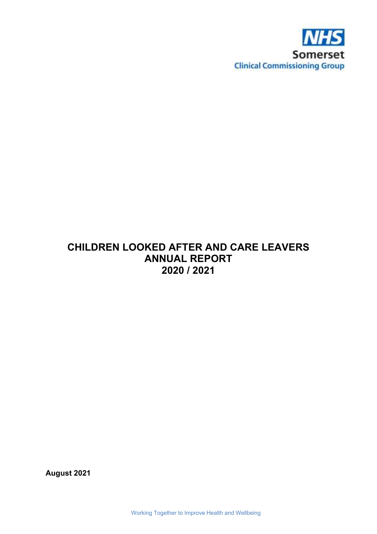

# **CHILDREN LOOKED AFTER AND CARE LEAVERS ANNUAL REPORT 2020 / 2021**

**August 2021**

Working Together to Improve Health and Wellbeing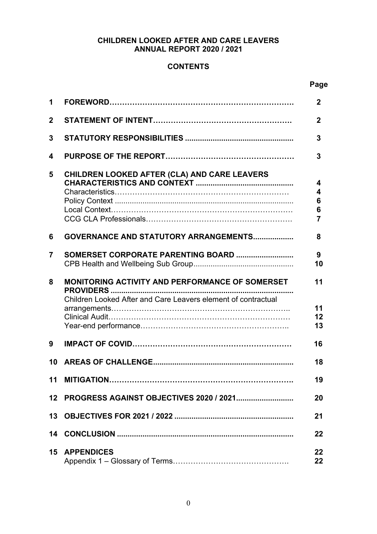### **CHILDREN LOOKED AFTER AND CARE LEAVERS ANNUAL REPORT 2020 / 2021**

### **CONTENTS**

#### **Page**

| 1            |                                                                                                                         | $\mathbf{2}$                       |
|--------------|-------------------------------------------------------------------------------------------------------------------------|------------------------------------|
| $\mathbf{2}$ |                                                                                                                         | $\mathbf{2}$                       |
| 3            |                                                                                                                         | 3                                  |
| 4            |                                                                                                                         | 3                                  |
| 5            | CHILDREN LOOKED AFTER (CLA) AND CARE LEAVERS                                                                            | 4<br>4<br>6<br>6<br>$\overline{7}$ |
| 6            | GOVERNANCE AND STATUTORY ARRANGEMENTS                                                                                   | 8                                  |
| 7            | SOMERSET CORPORATE PARENTING BOARD                                                                                      | 9<br>10                            |
| 8            | <b>MONITORING ACTIVITY AND PERFORMANCE OF SOMERSET</b><br>Children Looked After and Care Leavers element of contractual | 11<br>11<br>12<br>13               |
| 9            |                                                                                                                         | 16                                 |
| 10           |                                                                                                                         | 18                                 |
|              |                                                                                                                         | 19                                 |
| 12           |                                                                                                                         | 20                                 |
|              |                                                                                                                         | 21                                 |
|              |                                                                                                                         | 22                                 |
| 15           | <b>APPENDICES</b>                                                                                                       | 22<br>$22 \,$                      |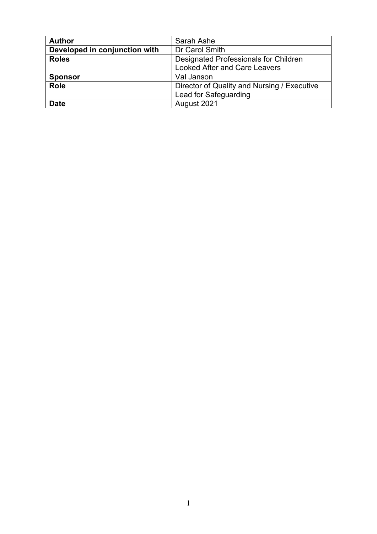| <b>Author</b>                 | Sarah Ashe                                  |
|-------------------------------|---------------------------------------------|
| Developed in conjunction with | Dr Carol Smith                              |
| <b>Roles</b>                  | Designated Professionals for Children       |
|                               | <b>Looked After and Care Leavers</b>        |
| <b>Sponsor</b>                | Val Janson                                  |
| <b>Role</b>                   | Director of Quality and Nursing / Executive |
|                               | Lead for Safeguarding                       |
| <b>Date</b>                   | August 2021                                 |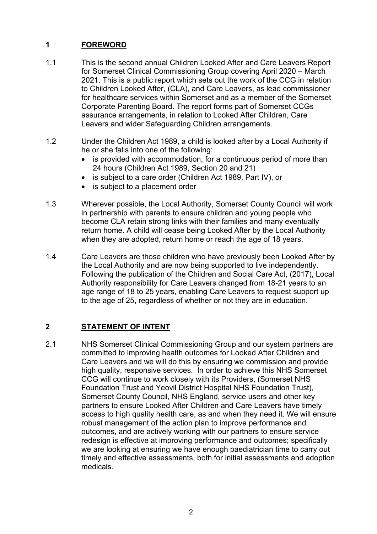# **1 FOREWORD**

- 1.1 This is the second annual Children Looked After and Care Leavers Report for Somerset Clinical Commissioning Group covering April 2020 – March 2021. This is a public report which sets out the work of the CCG in relation to Children Looked After, (CLA), and Care Leavers, as lead commissioner for healthcare services within Somerset and as a member of the Somerset Corporate Parenting Board. The report forms part of Somerset CCGs assurance arrangements, in relation to Looked After Children, Care Leavers and wider Safeguarding Children arrangements.
- 1.2 Under the Children Act 1989, a child is looked after by a Local Authority if he or she falls into one of the following:
	- is provided with accommodation, for a continuous period of more than 24 hours (Children Act 1989, Section 20 and 21)
	- is subject to a care order (Children Act 1989, Part IV), or
	- is subject to a placement order
- 1.3 Wherever possible, the Local Authority, Somerset County Council will work in partnership with parents to ensure children and young people who become CLA retain strong links with their families and many eventually return home. A child will cease being Looked After by the Local Authority when they are adopted, return home or reach the age of 18 years.
- 1.4 Care Leavers are those children who have previously been Looked After by the Local Authority and are now being supported to live independently. Following the publication of the Children and Social Care Act, (2017), Local Authority responsibility for Care Leavers changed from 18-21 years to an age range of 18 to 25 years, enabling Care Leavers to request support up to the age of 25, regardless of whether or not they are in education.

### **2 STATEMENT OF INTENT**

2.1 NHS Somerset Clinical Commissioning Group and our system partners are committed to improving health outcomes for Looked After Children and Care Leavers and we will do this by ensuring we commission and provide high quality, responsive services. In order to achieve this NHS Somerset CCG will continue to work closely with its Providers, (Somerset NHS Foundation Trust and Yeovil District Hospital NHS Foundation Trust), Somerset County Council, NHS England, service users and other key partners to ensure Looked After Children and Care Leavers have timely access to high quality health care, as and when they need it. We will ensure robust management of the action plan to improve performance and outcomes, and are actively working with our partners to ensure service redesign is effective at improving performance and outcomes; specifically we are looking at ensuring we have enough paediatrician time to carry out timely and effective assessments, both for initial assessments and adoption medicals.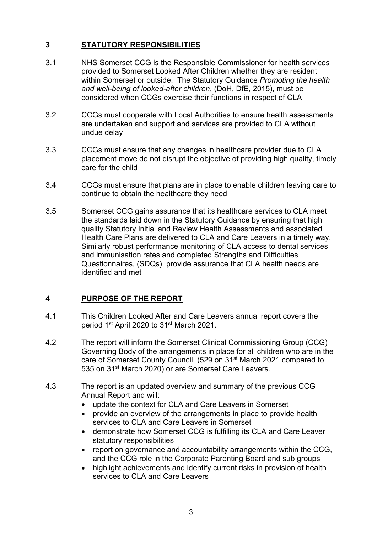### **3 STATUTORY RESPONSIBILITIES**

- 3.1 NHS Somerset CCG is the Responsible Commissioner for health services provided to Somerset Looked After Children whether they are resident within Somerset or outside. The Statutory Guidance *Promoting the health and well-being of looked-after children*, (DoH, DfE, 2015), must be considered when CCGs exercise their functions in respect of CLA
- 3.2 CCGs must cooperate with Local Authorities to ensure health assessments are undertaken and support and services are provided to CLA without undue delay
- 3.3 CCGs must ensure that any changes in healthcare provider due to CLA placement move do not disrupt the objective of providing high quality, timely care for the child
- 3.4 CCGs must ensure that plans are in place to enable children leaving care to continue to obtain the healthcare they need
- 3.5 Somerset CCG gains assurance that its healthcare services to CLA meet the standards laid down in the Statutory Guidance by ensuring that high quality Statutory Initial and Review Health Assessments and associated Health Care Plans are delivered to CLA and Care Leavers in a timely way. Similarly robust performance monitoring of CLA access to dental services and immunisation rates and completed Strengths and Difficulties Questionnaires, (SDQs), provide assurance that CLA health needs are identified and met

### **4 PURPOSE OF THE REPORT**

- 4.1 This Children Looked After and Care Leavers annual report covers the period 1<sup>st</sup> April 2020 to 31<sup>st</sup> March 2021.
- 4.2 The report will inform the Somerset Clinical Commissioning Group (CCG) Governing Body of the arrangements in place for all children who are in the care of Somerset County Council, (529 on 31<sup>st</sup> March 2021 compared to 535 on 31<sup>st</sup> March 2020) or are Somerset Care Leavers.
- 4.3 The report is an updated overview and summary of the previous CCG Annual Report and will:
	- update the context for CLA and Care Leavers in Somerset
	- provide an overview of the arrangements in place to provide health services to CLA and Care Leavers in Somerset
	- demonstrate how Somerset CCG is fulfilling its CLA and Care Leaver statutory responsibilities
	- report on governance and accountability arrangements within the CCG, and the CCG role in the Corporate Parenting Board and sub groups
	- highlight achievements and identify current risks in provision of health services to CLA and Care Leavers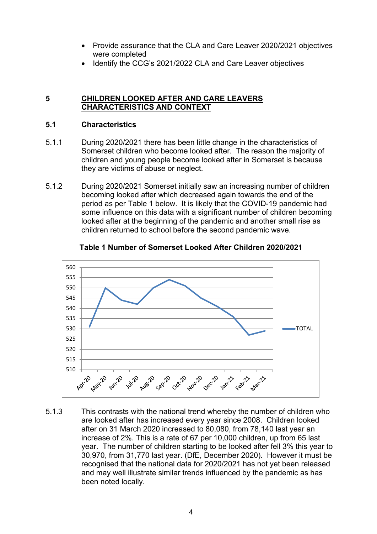- Provide assurance that the CLA and Care Leaver 2020/2021 objectives were completed
- Identify the CCG's 2021/2022 CLA and Care Leaver objectives

#### **5 CHILDREN LOOKED AFTER AND CARE LEAVERS CHARACTERISTICS AND CONTEXT**

#### **5.1 Characteristics**

- 5.1.1 During 2020/2021 there has been little change in the characteristics of Somerset children who become looked after. The reason the majority of children and young people become looked after in Somerset is because they are victims of abuse or neglect.
- 5.1.2 During 2020/2021 Somerset initially saw an increasing number of children becoming looked after which decreased again towards the end of the period as per Table 1 below. It is likely that the COVID-19 pandemic had some influence on this data with a significant number of children becoming looked after at the beginning of the pandemic and another small rise as children returned to school before the second pandemic wave.



#### **Table 1 Number of Somerset Looked After Children 2020/2021**

5.1.3 This contrasts with the national trend whereby the number of children who are looked after has increased every year since 2008. Children looked after on 31 March 2020 increased to 80,080, from 78,140 last year an increase of 2%. This is a rate of 67 per 10,000 children, up from 65 last year. The number of children starting to be looked after fell 3% this year to 30,970, from 31,770 last year. (DfE, December 2020). However it must be recognised that the national data for 2020/2021 has not yet been released and may well illustrate similar trends influenced by the pandemic as has been noted locally.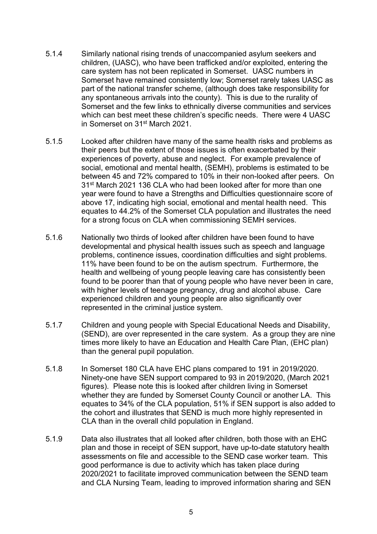- 5.1.4 Similarly national rising trends of unaccompanied asylum seekers and children, (UASC), who have been trafficked and/or exploited, entering the care system has not been replicated in Somerset. UASC numbers in Somerset have remained consistently low; Somerset rarely takes UASC as part of the national transfer scheme, (although does take responsibility for any spontaneous arrivals into the county). This is due to the rurality of Somerset and the few links to ethnically diverse communities and services which can best meet these children's specific needs. There were 4 UASC in Somerset on 31st March 2021.
- 5.1.5 Looked after children have many of the same health risks and problems as their peers but the extent of those issues is often exacerbated by their experiences of poverty, abuse and neglect. For example prevalence of social, emotional and mental health, (SEMH), problems is estimated to be between 45 and 72% compared to 10% in their non-looked after peers. On 31st March 2021 136 CLA who had been looked after for more than one year were found to have a Strengths and Difficulties questionnaire score of above 17, indicating high social, emotional and mental health need. This equates to 44.2% of the Somerset CLA population and illustrates the need for a strong focus on CLA when commissioning SEMH services.
- 5.1.6 Nationally two thirds of looked after children have been found to have developmental and physical health issues such as speech and language problems, continence issues, coordination difficulties and sight problems. 11% have been found to be on the autism spectrum. Furthermore, the health and wellbeing of young people leaving care has consistently been found to be poorer than that of young people who have never been in care, with higher levels of teenage pregnancy, drug and alcohol abuse. Care experienced children and young people are also significantly over represented in the criminal justice system.
- 5.1.7 Children and young people with Special Educational Needs and Disability, (SEND), are over represented in the care system. As a group they are nine times more likely to have an Education and Health Care Plan, (EHC plan) than the general pupil population.
- 5.1.8 In Somerset 180 CLA have EHC plans compared to 191 in 2019/2020. Ninety-one have SEN support compared to 93 in 2019/2020, (March 2021 figures). Please note this is looked after children living in Somerset whether they are funded by Somerset County Council or another LA. This equates to 34% of the CLA population, 51% if SEN support is also added to the cohort and illustrates that SEND is much more highly represented in CLA than in the overall child population in England.
- 5.1.9 Data also illustrates that all looked after children, both those with an EHC plan and those in receipt of SEN support, have up-to-date statutory health assessments on file and accessible to the SEND case worker team. This good performance is due to activity which has taken place during 2020/2021 to facilitate improved communication between the SEND team and CLA Nursing Team, leading to improved information sharing and SEN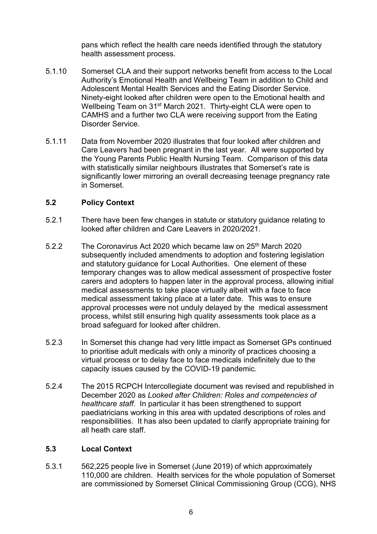pans which reflect the health care needs identified through the statutory health assessment process.

- 5.1.10 Somerset CLA and their support networks benefit from access to the Local Authority's Emotional Health and Wellbeing Team in addition to Child and Adolescent Mental Health Services and the Eating Disorder Service. Ninety-eight looked after children were open to the Emotional health and Wellbeing Team on 31<sup>st</sup> March 2021. Thirty-eight CLA were open to CAMHS and a further two CLA were receiving support from the Eating Disorder Service.
- 5.1.11 Data from November 2020 illustrates that four looked after children and Care Leavers had been pregnant in the last year. All were supported by the Young Parents Public Health Nursing Team. Comparison of this data with statistically similar neighbours illustrates that Somerset's rate is significantly lower mirroring an overall decreasing teenage pregnancy rate in Somerset.

### **5.2 Policy Context**

- 5.2.1 There have been few changes in statute or statutory guidance relating to looked after children and Care Leavers in 2020/2021.
- 5.2.2 The Coronavirus Act 2020 which became law on 25th March 2020 subsequently included amendments to adoption and fostering legislation and statutory guidance for Local Authorities. One element of these temporary changes was to allow medical assessment of prospective foster carers and adopters to happen later in the approval process, allowing initial medical assessments to take place virtually albeit with a face to face medical assessment taking place at a later date. This was to ensure approval processes were not unduly delayed by the medical assessment process, whilst still ensuring high quality assessments took place as a broad safeguard for looked after children.
- 5.2.3 In Somerset this change had very little impact as Somerset GPs continued to prioritise adult medicals with only a minority of practices choosing a virtual process or to delay face to face medicals indefinitely due to the capacity issues caused by the COVID-19 pandemic.
- 5.2.4 The 2015 RCPCH Intercollegiate document was revised and republished in December 2020 as *Looked after Children: Roles and competencies of healthcare staff*. In particular it has been strengthened to support paediatricians working in this area with updated descriptions of roles and responsibilities. It has also been updated to clarify appropriate training for all heath care staff.

#### **5.3 Local Context**

5.3.1 562,225 people live in Somerset (June 2019) of which approximately 110,000 are children. Health services for the whole population of Somerset are commissioned by Somerset Clinical Commissioning Group (CCG), NHS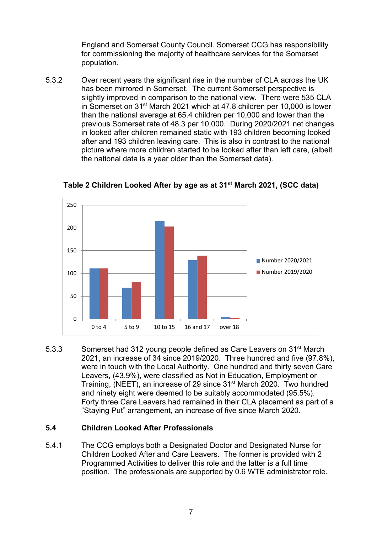England and Somerset County Council. Somerset CCG has responsibility for commissioning the majority of healthcare services for the Somerset population.

5.3.2 Over recent years the significant rise in the number of CLA across the UK has been mirrored in Somerset.The current Somerset perspective is slightly improved in comparison to the national view. There were 535 CLA in Somerset on 31st March 2021 which at 47.8 children per 10,000 is lower than the national average at 65.4 children per 10,000 and lower than the previous Somerset rate of 48.3 per 10,000. During 2020/2021 net changes in looked after children remained static with 193 children becoming looked after and 193 children leaving care. This is also in contrast to the national picture where more children started to be looked after than left care, (albeit the national data is a year older than the Somerset data).



**Table 2 Children Looked After by age as at 31st March 2021, (SCC data)** 

5.3.3 Somerset had 312 young people defined as Care Leavers on 31st March 2021, an increase of 34 since 2019/2020. Three hundred and five (97.8%), were in touch with the Local Authority. One hundred and thirty seven Care Leavers, (43.9%), were classified as Not in Education, Employment or Training, (NEET), an increase of 29 since 31st March 2020. Two hundred and ninety eight were deemed to be suitably accommodated (95.5%). Forty three Care Leavers had remained in their CLA placement as part of a "Staying Put" arrangement, an increase of five since March 2020.

### **5.4 Children Looked After Professionals**

5.4.1 The CCG employs both a Designated Doctor and Designated Nurse for Children Looked After and Care Leavers. The former is provided with 2 Programmed Activities to deliver this role and the latter is a full time position. The professionals are supported by 0.6 WTE administrator role.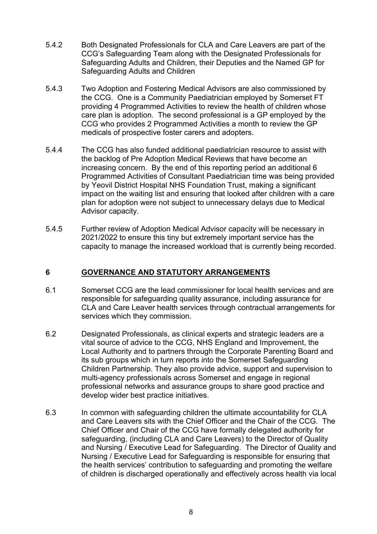- 5.4.2 Both Designated Professionals for CLA and Care Leavers are part of the CCG's Safeguarding Team along with the Designated Professionals for Safeguarding Adults and Children, their Deputies and the Named GP for Safeguarding Adults and Children
- 5.4.3 Two Adoption and Fostering Medical Advisors are also commissioned by the CCG. One is a Community Paediatrician employed by Somerset FT providing 4 Programmed Activities to review the health of children whose care plan is adoption. The second professional is a GP employed by the CCG who provides 2 Programmed Activities a month to review the GP medicals of prospective foster carers and adopters.
- 5.4.4 The CCG has also funded additional paediatrician resource to assist with the backlog of Pre Adoption Medical Reviews that have become an increasing concern. By the end of this reporting period an additional 6 Programmed Activities of Consultant Paediatrician time was being provided by Yeovil District Hospital NHS Foundation Trust, making a significant impact on the waiting list and ensuring that looked after children with a care plan for adoption were not subject to unnecessary delays due to Medical Advisor capacity.
- 5.4.5 Further review of Adoption Medical Advisor capacity will be necessary in 2021/2022 to ensure this tiny but extremely important service has the capacity to manage the increased workload that is currently being recorded.

### **6 GOVERNANCE AND STATUTORY ARRANGEMENTS**

- 6.1 Somerset CCG are the lead commissioner for local health services and are responsible for safeguarding quality assurance, including assurance for CLA and Care Leaver health services through contractual arrangements for services which they commission.
- 6.2 Designated Professionals, as clinical experts and strategic leaders are a vital source of advice to the CCG, NHS England and Improvement, the Local Authority and to partners through the Corporate Parenting Board and its sub groups which in turn reports into the Somerset Safeguarding Children Partnership. They also provide advice, support and supervision to multi-agency professionals across Somerset and engage in regional professional networks and assurance groups to share good practice and develop wider best practice initiatives.
- 6.3 In common with safeguarding children the ultimate accountability for CLA and Care Leavers sits with the Chief Officer and the Chair of the CCG. The Chief Officer and Chair of the CCG have formally delegated authority for safeguarding, (including CLA and Care Leavers) to the Director of Quality and Nursing / Executive Lead for Safeguarding. The Director of Quality and Nursing / Executive Lead for Safeguarding is responsible for ensuring that the health services' contribution to safeguarding and promoting the welfare of children is discharged operationally and effectively across health via local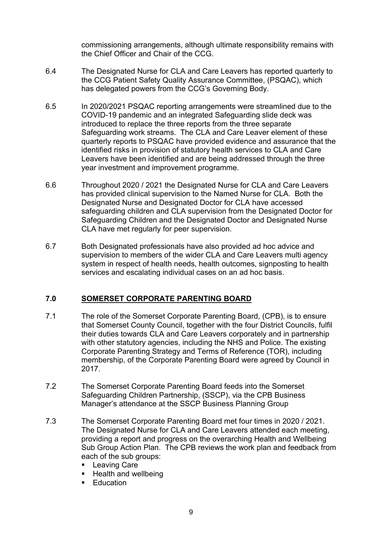commissioning arrangements, although ultimate responsibility remains with the Chief Officer and Chair of the CCG.

- 6.4 The Designated Nurse for CLA and Care Leavers has reported quarterly to the CCG Patient Safety Quality Assurance Committee, (PSQAC), which has delegated powers from the CCG's Governing Body.
- 6.5 In 2020/2021 PSQAC reporting arrangements were streamlined due to the COVID-19 pandemic and an integrated Safeguarding slide deck was introduced to replace the three reports from the three separate Safeguarding work streams. The CLA and Care Leaver element of these quarterly reports to PSQAC have provided evidence and assurance that the identified risks in provision of statutory health services to CLA and Care Leavers have been identified and are being addressed through the three year investment and improvement programme.
- 6.6 Throughout 2020 / 2021 the Designated Nurse for CLA and Care Leavers has provided clinical supervision to the Named Nurse for CLA. Both the Designated Nurse and Designated Doctor for CLA have accessed safeguarding children and CLA supervision from the Designated Doctor for Safeguarding Children and the Designated Doctor and Designated Nurse CLA have met regularly for peer supervision.
- 6.7 Both Designated professionals have also provided ad hoc advice and supervision to members of the wider CLA and Care Leavers multi agency system in respect of health needs, health outcomes, signposting to health services and escalating individual cases on an ad hoc basis.

### **7.0 SOMERSET CORPORATE PARENTING BOARD**

- 7.1 The role of the Somerset Corporate Parenting Board, (CPB), is to ensure that Somerset County Council, together with the four District Councils, fulfil their duties towards CLA and Care Leavers corporately and in partnership with other statutory agencies, including the NHS and Police. The existing Corporate Parenting Strategy and Terms of Reference (TOR), including membership, of the Corporate Parenting Board were agreed by Council in 2017.
- 7.2 The Somerset Corporate Parenting Board feeds into the Somerset Safeguarding Children Partnership, (SSCP), via the CPB Business Manager's attendance at the SSCP Business Planning Group
- 7.3 The Somerset Corporate Parenting Board met four times in 2020 / 2021. The Designated Nurse for CLA and Care Leavers attended each meeting, providing a report and progress on the overarching Health and Wellbeing Sub Group Action Plan. The CPB reviews the work plan and feedback from each of the sub groups:
	- **Leaving Care**
	- Health and wellbeing
	- **Education**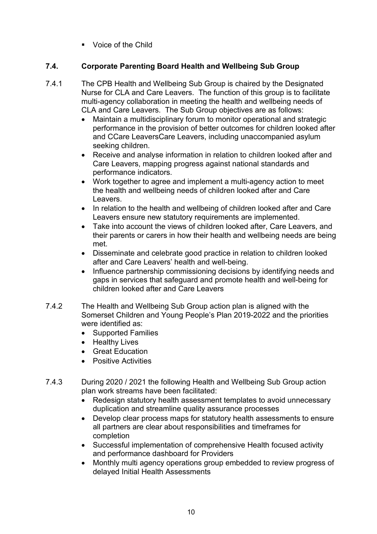**Noice of the Child** 

## **7.4. Corporate Parenting Board Health and Wellbeing Sub Group**

- 7.4.1 The CPB Health and Wellbeing Sub Group is chaired by the Designated Nurse for CLA and Care Leavers. The function of this group is to facilitate multi-agency collaboration in meeting the health and wellbeing needs of CLA and Care Leavers. The Sub Group objectives are as follows:
	- Maintain a multidisciplinary forum to monitor operational and strategic performance in the provision of better outcomes for children looked after and CCare LeaversCare Leavers, including unaccompanied asylum seeking children.
	- Receive and analyse information in relation to children looked after and Care Leavers, mapping progress against national standards and performance indicators.
	- Work together to agree and implement a multi-agency action to meet the health and wellbeing needs of children looked after and Care Leavers.
	- In relation to the health and wellbeing of children looked after and Care Leavers ensure new statutory requirements are implemented.
	- Take into account the views of children looked after, Care Leavers, and their parents or carers in how their health and wellbeing needs are being met.
	- Disseminate and celebrate good practice in relation to children looked after and Care Leavers' health and well-being.
	- Influence partnership commissioning decisions by identifying needs and gaps in services that safeguard and promote health and well-being for children looked after and Care Leavers
- 7.4.2 The Health and Wellbeing Sub Group action plan is aligned with the Somerset Children and Young People's Plan 2019-2022 and the priorities were identified as:
	- Supported Families
	- Healthy Lives
	- Great Education
	- Positive Activities
- 7.4.3 During 2020 / 2021 the following Health and Wellbeing Sub Group action plan work streams have been facilitated:
	- Redesign statutory health assessment templates to avoid unnecessary duplication and streamline quality assurance processes
	- Develop clear process maps for statutory health assessments to ensure all partners are clear about responsibilities and timeframes for completion
	- Successful implementation of comprehensive Health focused activity and performance dashboard for Providers
	- Monthly multi agency operations group embedded to review progress of delayed Initial Health Assessments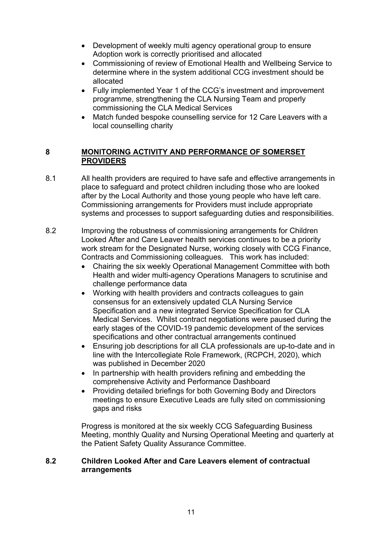- Development of weekly multi agency operational group to ensure Adoption work is correctly prioritised and allocated
- Commissioning of review of Emotional Health and Wellbeing Service to determine where in the system additional CCG investment should be allocated
- Fully implemented Year 1 of the CCG's investment and improvement programme, strengthening the CLA Nursing Team and properly commissioning the CLA Medical Services
- Match funded bespoke counselling service for 12 Care Leavers with a local counselling charity

### **8 MONITORING ACTIVITY AND PERFORMANCE OF SOMERSET PROVIDERS**

- 8.1 All health providers are required to have safe and effective arrangements in place to safeguard and protect children including those who are looked after by the Local Authority and those young people who have left care. Commissioning arrangements for Providers must include appropriate systems and processes to support safeguarding duties and responsibilities.
- 8.2 Improving the robustness of commissioning arrangements for Children Looked After and Care Leaver health services continues to be a priority work stream for the Designated Nurse, working closely with CCG Finance, Contracts and Commissioning colleagues. This work has included:
	- Chairing the six weekly Operational Management Committee with both Health and wider multi-agency Operations Managers to scrutinise and challenge performance data
	- Working with health providers and contracts colleagues to gain consensus for an extensively updated CLA Nursing Service Specification and a new integrated Service Specification for CLA Medical Services. Whilst contract negotiations were paused during the early stages of the COVID-19 pandemic development of the services specifications and other contractual arrangements continued
	- Ensuring job descriptions for all CLA professionals are up-to-date and in line with the Intercollegiate Role Framework, (RCPCH, 2020), which was published in December 2020
	- In partnership with health providers refining and embedding the comprehensive Activity and Performance Dashboard
	- Providing detailed briefings for both Governing Body and Directors meetings to ensure Executive Leads are fully sited on commissioning gaps and risks

Progress is monitored at the six weekly CCG Safeguarding Business Meeting, monthly Quality and Nursing Operational Meeting and quarterly at the Patient Safety Quality Assurance Committee.

#### **8.2 Children Looked After and Care Leavers element of contractual arrangements**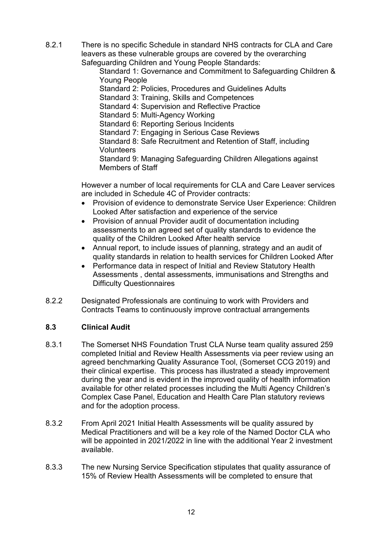8.2.1 There is no specific Schedule in standard NHS contracts for CLA and Care leavers as these vulnerable groups are covered by the overarching Safeguarding Children and Young People Standards:

 Standard 1: Governance and Commitment to Safeguarding Children & Young People

Standard 2: Policies, Procedures and Guidelines Adults

Standard 3: Training, Skills and Competences

Standard 4: Supervision and Reflective Practice

Standard 5: Multi-Agency Working

Standard 6: Reporting Serious Incidents

Standard 7: Engaging in Serious Case Reviews

 Standard 8: Safe Recruitment and Retention of Staff, including Volunteers

 Standard 9: Managing Safeguarding Children Allegations against Members of Staff

 However a number of local requirements for CLA and Care Leaver services are included in Schedule 4C of Provider contracts:

- Provision of evidence to demonstrate Service User Experience: Children Looked After satisfaction and experience of the service
- Provision of annual Provider audit of documentation including assessments to an agreed set of quality standards to evidence the quality of the Children Looked After health service
- Annual report, to include issues of planning, strategy and an audit of quality standards in relation to health services for Children Looked After
- Performance data in respect of Initial and Review Statutory Health Assessments , dental assessments, immunisations and Strengths and Difficulty Questionnaires
- 8.2.2 Designated Professionals are continuing to work with Providers and Contracts Teams to continuously improve contractual arrangements

### **8.3 Clinical Audit**

- 8.3.1 The Somerset NHS Foundation Trust CLA Nurse team quality assured 259 completed Initial and Review Health Assessments via peer review using an agreed benchmarking Quality Assurance Tool, (Somerset CCG 2019) and their clinical expertise. This process has illustrated a steady improvement during the year and is evident in the improved quality of health information available for other related processes including the Multi Agency Children's Complex Case Panel, Education and Health Care Plan statutory reviews and for the adoption process.
- 8.3.2 From April 2021 Initial Health Assessments will be quality assured by Medical Practitioners and will be a key role of the Named Doctor CLA who will be appointed in 2021/2022 in line with the additional Year 2 investment available.
- 8.3.3 The new Nursing Service Specification stipulates that quality assurance of 15% of Review Health Assessments will be completed to ensure that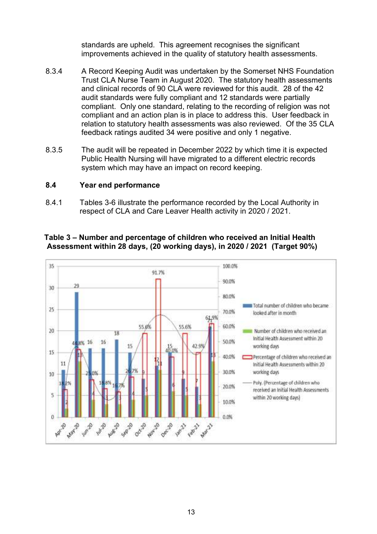standards are upheld. This agreement recognises the significant improvements achieved in the quality of statutory health assessments.

- 8.3.4 A Record Keeping Audit was undertaken by the Somerset NHS Foundation Trust CLA Nurse Team in August 2020. The statutory health assessments and clinical records of 90 CLA were reviewed for this audit. 28 of the 42 audit standards were fully compliant and 12 standards were partially compliant. Only one standard, relating to the recording of religion was not compliant and an action plan is in place to address this. User feedback in relation to statutory health assessments was also reviewed. Of the 35 CLA feedback ratings audited 34 were positive and only 1 negative.
- 8.3.5 The audit will be repeated in December 2022 by which time it is expected Public Health Nursing will have migrated to a different electric records system which may have an impact on record keeping.

#### **8.4 Year end performance**

8.4.1 Tables 3-6 illustrate the performance recorded by the Local Authority in respect of CLA and Care Leaver Health activity in 2020 / 2021.



#### **Table 3 – Number and percentage of children who received an Initial Health Assessment within 28 days, (20 working days), in 2020 / 2021 (Target 90%)**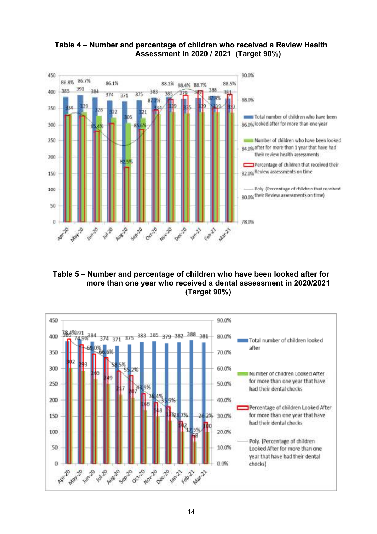

**Table 4 – Number and percentage of children who received a Review Health Assessment in 2020 / 2021 (Target 90%)** 

**Table 5 – Number and percentage of children who have been looked after for more than one year who received a dental assessment in 2020/2021 (Target 90%)** 

![](_page_19_Figure_3.jpeg)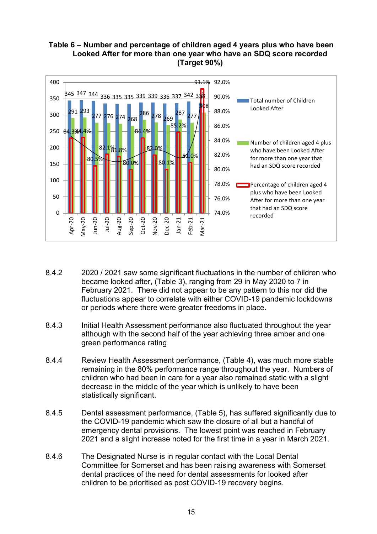### **Table 6 – Number and percentage of children aged 4 years plus who have been Looked After for more than one year who have an SDQ score recorded (Target 90%)**

![](_page_20_Figure_1.jpeg)

- 8.4.2 2020 / 2021 saw some significant fluctuations in the number of children who became looked after, (Table 3), ranging from 29 in May 2020 to 7 in February 2021. There did not appear to be any pattern to this nor did the fluctuations appear to correlate with either COVID-19 pandemic lockdowns or periods where there were greater freedoms in place.
- 8.4.3 Initial Health Assessment performance also fluctuated throughout the year although with the second half of the year achieving three amber and one green performance rating
- 8.4.4 Review Health Assessment performance, (Table 4), was much more stable remaining in the 80% performance range throughout the year. Numbers of children who had been in care for a year also remained static with a slight decrease in the middle of the year which is unlikely to have been statistically significant.
- 8.4.5 Dental assessment performance, (Table 5), has suffered significantly due to the COVID-19 pandemic which saw the closure of all but a handful of emergency dental provisions. The lowest point was reached in February 2021 and a slight increase noted for the first time in a year in March 2021.
- 8.4.6 The Designated Nurse is in regular contact with the Local Dental Committee for Somerset and has been raising awareness with Somerset dental practices of the need for dental assessments for looked after children to be prioritised as post COVID-19 recovery begins.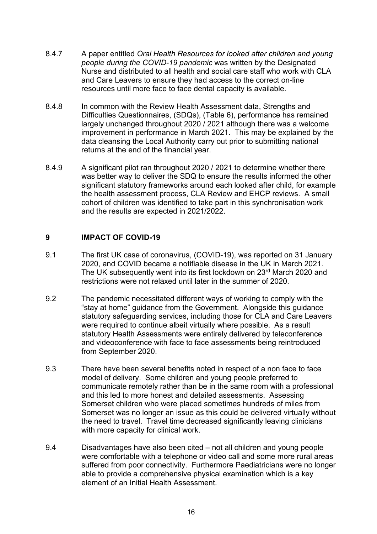- 8.4.7 A paper entitled *Oral Health Resources for looked after children and young people during the COVID-19 pandemic* was written by the Designated Nurse and distributed to all health and social care staff who work with CLA and Care Leavers to ensure they had access to the correct on-line resources until more face to face dental capacity is available.
- 8.4.8 In common with the Review Health Assessment data, Strengths and Difficulties Questionnaires, (SDQs), (Table 6), performance has remained largely unchanged throughout 2020 / 2021 although there was a welcome improvement in performance in March 2021. This may be explained by the data cleansing the Local Authority carry out prior to submitting national returns at the end of the financial year.
- 8.4.9 A significant pilot ran throughout 2020 / 2021 to determine whether there was better way to deliver the SDQ to ensure the results informed the other significant statutory frameworks around each looked after child, for example the health assessment process, CLA Review and EHCP reviews. A small cohort of children was identified to take part in this synchronisation work and the results are expected in 2021/2022.

### **9 IMPACT OF COVID-19**

- 9.1 The first UK case of coronavirus, (COVID-19), was reported on 31 January 2020, and COVID became a notifiable disease in the UK in March 2021. The UK subsequently went into its first lockdown on 23rd March 2020 and restrictions were not relaxed until later in the summer of 2020.
- 9.2 The pandemic necessitated different ways of working to comply with the "stay at home" guidance from the Government. Alongside this guidance statutory safeguarding services, including those for CLA and Care Leavers were required to continue albeit virtually where possible. As a result statutory Health Assessments were entirely delivered by teleconference and videoconference with face to face assessments being reintroduced from September 2020.
- 9.3 There have been several benefits noted in respect of a non face to face model of delivery. Some children and young people preferred to communicate remotely rather than be in the same room with a professional and this led to more honest and detailed assessments. Assessing Somerset children who were placed sometimes hundreds of miles from Somerset was no longer an issue as this could be delivered virtually without the need to travel. Travel time decreased significantly leaving clinicians with more capacity for clinical work.
- 9.4 Disadvantages have also been cited not all children and young people were comfortable with a telephone or video call and some more rural areas suffered from poor connectivity. Furthermore Paediatricians were no longer able to provide a comprehensive physical examination which is a key element of an Initial Health Assessment.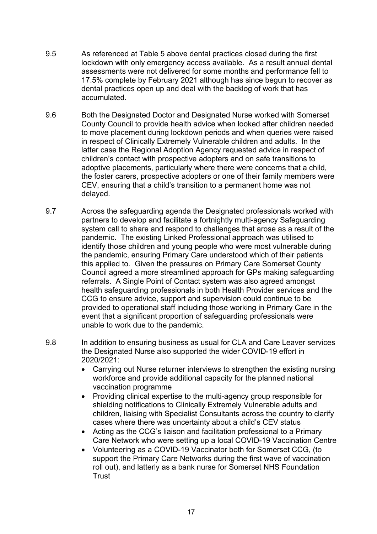- 9.5 As referenced at Table 5 above dental practices closed during the first lockdown with only emergency access available. As a result annual dental assessments were not delivered for some months and performance fell to 17.5% complete by February 2021 although has since begun to recover as dental practices open up and deal with the backlog of work that has accumulated.
- 9.6 Both the Designated Doctor and Designated Nurse worked with Somerset County Council to provide health advice when looked after children needed to move placement during lockdown periods and when queries were raised in respect of Clinically Extremely Vulnerable children and adults. In the latter case the Regional Adoption Agency requested advice in respect of children's contact with prospective adopters and on safe transitions to adoptive placements, particularly where there were concerns that a child, the foster carers, prospective adopters or one of their family members were CEV, ensuring that a child's transition to a permanent home was not delayed.
- 9.7 Across the safeguarding agenda the Designated professionals worked with partners to develop and facilitate a fortnightly multi-agency Safeguarding system call to share and respond to challenges that arose as a result of the pandemic. The existing Linked Professional approach was utilised to identify those children and young people who were most vulnerable during the pandemic, ensuring Primary Care understood which of their patients this applied to. Given the pressures on Primary Care Somerset County Council agreed a more streamlined approach for GPs making safeguarding referrals. A Single Point of Contact system was also agreed amongst health safeguarding professionals in both Health Provider services and the CCG to ensure advice, support and supervision could continue to be provided to operational staff including those working in Primary Care in the event that a significant proportion of safeguarding professionals were unable to work due to the pandemic.
- 9.8 In addition to ensuring business as usual for CLA and Care Leaver services the Designated Nurse also supported the wider COVID-19 effort in 2020/2021:
	- Carrying out Nurse returner interviews to strengthen the existing nursing workforce and provide additional capacity for the planned national vaccination programme
	- Providing clinical expertise to the multi-agency group responsible for shielding notifications to Clinically Extremely Vulnerable adults and children, liaising with Specialist Consultants across the country to clarify cases where there was uncertainty about a child's CEV status
	- Acting as the CCG's liaison and facilitation professional to a Primary Care Network who were setting up a local COVID-19 Vaccination Centre
	- Volunteering as a COVID-19 Vaccinator both for Somerset CCG, (to support the Primary Care Networks during the first wave of vaccination roll out), and latterly as a bank nurse for Somerset NHS Foundation **Trust**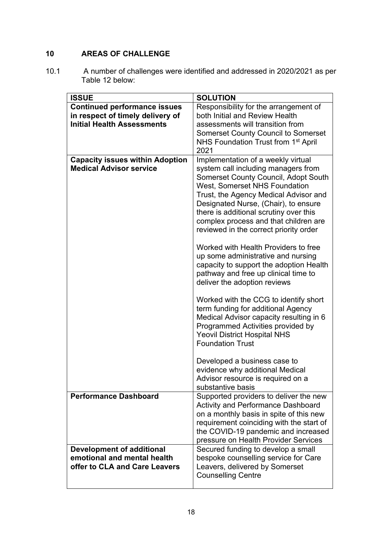# **10 AREAS OF CHALLENGE**

10.1 A number of challenges were identified and addressed in 2020/2021 as per Table 12 below:

| <b>ISSUE</b>                                                                              | <b>SOLUTION</b>                                                                                                                                                                                                                                           |
|-------------------------------------------------------------------------------------------|-----------------------------------------------------------------------------------------------------------------------------------------------------------------------------------------------------------------------------------------------------------|
| <b>Continued performance issues</b>                                                       | Responsibility for the arrangement of                                                                                                                                                                                                                     |
| in respect of timely delivery of                                                          | both Initial and Review Health                                                                                                                                                                                                                            |
| <b>Initial Health Assessments</b>                                                         | assessments will transition from                                                                                                                                                                                                                          |
|                                                                                           | <b>Somerset County Council to Somerset</b>                                                                                                                                                                                                                |
|                                                                                           | NHS Foundation Trust from 1 <sup>st</sup> April                                                                                                                                                                                                           |
|                                                                                           | 2021                                                                                                                                                                                                                                                      |
| <b>Capacity issues within Adoption</b><br><b>Medical Advisor service</b>                  | Implementation of a weekly virtual<br>system call including managers from<br><b>Somerset County Council, Adopt South</b><br><b>West, Somerset NHS Foundation</b><br>Trust, the Agency Medical Advisor and                                                 |
|                                                                                           | Designated Nurse, (Chair), to ensure<br>there is additional scrutiny over this<br>complex process and that children are<br>reviewed in the correct priority order                                                                                         |
|                                                                                           | Worked with Health Providers to free<br>up some administrative and nursing<br>capacity to support the adoption Health<br>pathway and free up clinical time to<br>deliver the adoption reviews                                                             |
|                                                                                           | Worked with the CCG to identify short<br>term funding for additional Agency<br>Medical Advisor capacity resulting in 6<br>Programmed Activities provided by<br><b>Yeovil District Hospital NHS</b><br><b>Foundation Trust</b>                             |
|                                                                                           | Developed a business case to<br>evidence why additional Medical<br>Advisor resource is required on a<br>substantive basis                                                                                                                                 |
| <b>Performance Dashboard</b>                                                              | Supported providers to deliver the new<br><b>Activity and Performance Dashboard</b><br>on a monthly basis in spite of this new<br>requirement coinciding with the start of<br>the COVID-19 pandemic and increased<br>pressure on Health Provider Services |
| Development of additional<br>emotional and mental health<br>offer to CLA and Care Leavers | Secured funding to develop a small<br>bespoke counselling service for Care<br>Leavers, delivered by Somerset<br><b>Counselling Centre</b>                                                                                                                 |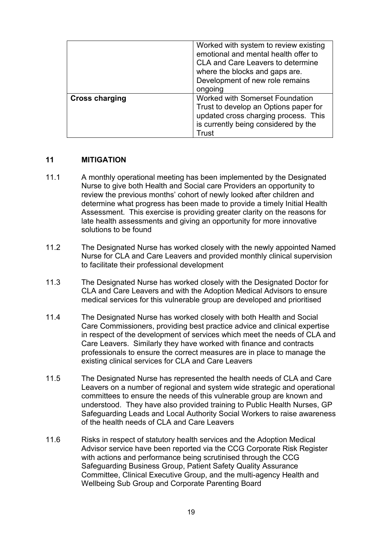|                       | Worked with system to review existing<br>emotional and mental health offer to<br><b>CLA and Care Leavers to determine</b><br>where the blocks and gaps are.<br>Development of new role remains<br>ongoing |
|-----------------------|-----------------------------------------------------------------------------------------------------------------------------------------------------------------------------------------------------------|
| <b>Cross charging</b> | Worked with Somerset Foundation<br>Trust to develop an Options paper for<br>updated cross charging process. This<br>is currently being considered by the<br>Trust                                         |

#### **11 MITIGATION**

- 11.1 A monthly operational meeting has been implemented by the Designated Nurse to give both Health and Social care Providers an opportunity to review the previous months' cohort of newly looked after children and determine what progress has been made to provide a timely Initial Health Assessment. This exercise is providing greater clarity on the reasons for late health assessments and giving an opportunity for more innovative solutions to be found
- 11.2 The Designated Nurse has worked closely with the newly appointed Named Nurse for CLA and Care Leavers and provided monthly clinical supervision to facilitate their professional development
- 11.3 The Designated Nurse has worked closely with the Designated Doctor for CLA and Care Leavers and with the Adoption Medical Advisors to ensure medical services for this vulnerable group are developed and prioritised
- 11.4 The Designated Nurse has worked closely with both Health and Social Care Commissioners, providing best practice advice and clinical expertise in respect of the development of services which meet the needs of CLA and Care Leavers. Similarly they have worked with finance and contracts professionals to ensure the correct measures are in place to manage the existing clinical services for CLA and Care Leavers
- 11.5 The Designated Nurse has represented the health needs of CLA and Care Leavers on a number of regional and system wide strategic and operational committees to ensure the needs of this vulnerable group are known and understood. They have also provided training to Public Health Nurses, GP Safeguarding Leads and Local Authority Social Workers to raise awareness of the health needs of CLA and Care Leavers
- 11.6 Risks in respect of statutory health services and the Adoption Medical Advisor service have been reported via the CCG Corporate Risk Register with actions and performance being scrutinised through the CCG Safeguarding Business Group, Patient Safety Quality Assurance Committee, Clinical Executive Group, and the multi-agency Health and Wellbeing Sub Group and Corporate Parenting Board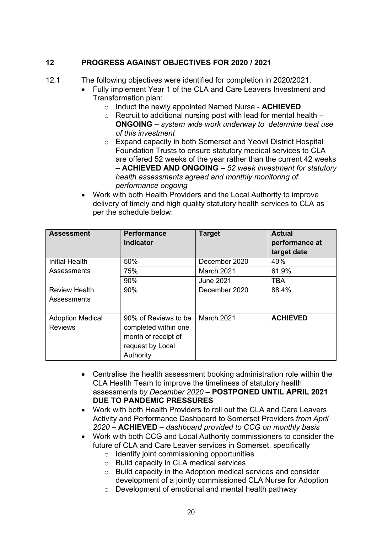# **12 PROGRESS AGAINST OBJECTIVES FOR 2020 / 2021**

12.1 The following objectives were identified for completion in 2020/2021:

- Fully implement Year 1 of the CLA and Care Leavers Investment and Transformation plan:
	- o Induct the newly appointed Named Nurse **ACHIEVED**
	- $\circ$  Recruit to additional nursing post with lead for mental health  $-$ **ONGOING –** *system wide work underway to determine best use of this investment*
	- o Expand capacity in both Somerset and Yeovil District Hospital Foundation Trusts to ensure statutory medical services to CLA are offered 52 weeks of the year rather than the current 42 weeks – **ACHIEVED AND ONGOING –** *52 week investment for statutory health assessments agreed and monthly monitoring of performance ongoing*
- Work with both Health Providers and the Local Authority to improve delivery of timely and high quality statutory health services to CLA as per the schedule below:

| <b>Assessment</b>                         | <b>Performance</b><br>indicator                                                                      | <b>Target</b>     | <b>Actual</b><br>performance at<br>target date |
|-------------------------------------------|------------------------------------------------------------------------------------------------------|-------------------|------------------------------------------------|
| <b>Initial Health</b>                     | 50%                                                                                                  | December 2020     | 40%                                            |
| Assessments                               | 75%                                                                                                  | <b>March 2021</b> | 61.9%                                          |
|                                           | 90%                                                                                                  | <b>June 2021</b>  | <b>TBA</b>                                     |
| <b>Review Health</b><br>Assessments       | 90%                                                                                                  | December 2020     | 88.4%                                          |
| <b>Adoption Medical</b><br><b>Reviews</b> | 90% of Reviews to be<br>completed within one<br>month of receipt of<br>request by Local<br>Authority | March 2021        | <b>ACHIEVED</b>                                |

- Centralise the health assessment booking administration role within the CLA Health Team to improve the timeliness of statutory health assessments *by December 2020 –* **POSTPONED UNTIL APRIL 2021 DUE TO PANDEMIC PRESSURES**
- Work with both Health Providers to roll out the CLA and Care Leavers Activity and Performance Dashboard to Somerset Providers *from April 2020* **– ACHIEVED –** *dashboard provided to CCG on monthly basis*
- Work with both CCG and Local Authority commissioners to consider the future of CLA and Care Leaver services in Somerset, specifically
	- o Identify joint commissioning opportunities
	- o Build capacity in CLA medical services
	- o Build capacity in the Adoption medical services and consider development of a jointly commissioned CLA Nurse for Adoption
	- o Development of emotional and mental health pathway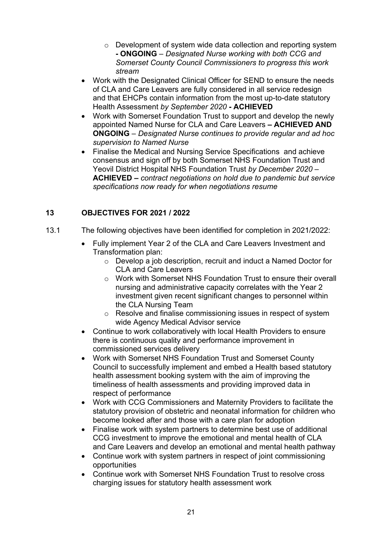- o Development of system wide data collection and reporting system **- ONGOING** *– Designated Nurse working with both CCG and Somerset County Council Commissioners to progress this work stream*
- Work with the Designated Clinical Officer for SEND to ensure the needs of CLA and Care Leavers are fully considered in all service redesign and that EHCPs contain information from the most up-to-date statutory Health Assessment *by September 2020* **- ACHIEVED**
- Work with Somerset Foundation Trust to support and develop the newly appointed Named Nurse for CLA and Care Leavers **– ACHIEVED AND ONGOING** *– Designated Nurse continues to provide regular and ad hoc supervision to Named Nurse*
- Finalise the Medical and Nursing Service Specifications and achieve consensus and sign off by both Somerset NHS Foundation Trust and Yeovil District Hospital NHS Foundation Trust *by December 2020 –*  **ACHIEVED –** *contract negotiations on hold due to pandemic but service specifications now ready for when negotiations resume*

# **13 OBJECTIVES FOR 2021 / 2022**

- 13.1 The following objectives have been identified for completion in 2021/2022:
	- Fully implement Year 2 of the CLA and Care Leavers Investment and Transformation plan:
		- o Develop a job description, recruit and induct a Named Doctor for CLA and Care Leavers
		- o Work with Somerset NHS Foundation Trust to ensure their overall nursing and administrative capacity correlates with the Year 2 investment given recent significant changes to personnel within the CLA Nursing Team
		- o Resolve and finalise commissioning issues in respect of system wide Agency Medical Advisor service
	- Continue to work collaboratively with local Health Providers to ensure there is continuous quality and performance improvement in commissioned services delivery
	- Work with Somerset NHS Foundation Trust and Somerset County Council to successfully implement and embed a Health based statutory health assessment booking system with the aim of improving the timeliness of health assessments and providing improved data in respect of performance
	- Work with CCG Commissioners and Maternity Providers to facilitate the statutory provision of obstetric and neonatal information for children who become looked after and those with a care plan for adoption
	- Finalise work with system partners to determine best use of additional CCG investment to improve the emotional and mental health of CLA and Care Leavers and develop an emotional and mental health pathway
	- Continue work with system partners in respect of joint commissioning opportunities
	- Continue work with Somerset NHS Foundation Trust to resolve cross charging issues for statutory health assessment work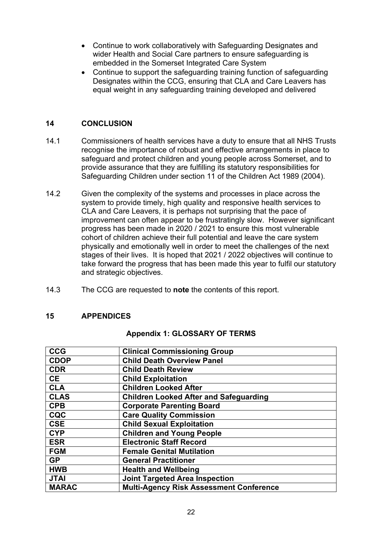- Continue to work collaboratively with Safeguarding Designates and wider Health and Social Care partners to ensure safeguarding is embedded in the Somerset Integrated Care System
- Continue to support the safeguarding training function of safeguarding Designates within the CCG, ensuring that CLA and Care Leavers has equal weight in any safeguarding training developed and delivered

### **14 CONCLUSION**

- 14.1 Commissioners of health services have a duty to ensure that all NHS Trusts recognise the importance of robust and effective arrangements in place to safeguard and protect children and young people across Somerset, and to provide assurance that they are fulfilling its statutory responsibilities for Safeguarding Children under section 11 of the Children Act 1989 (2004).
- 14.2 Given the complexity of the systems and processes in place across the system to provide timely, high quality and responsive health services to CLA and Care Leavers, it is perhaps not surprising that the pace of improvement can often appear to be frustratingly slow. However significant progress has been made in 2020 / 2021 to ensure this most vulnerable cohort of children achieve their full potential and leave the care system physically and emotionally well in order to meet the challenges of the next stages of their lives. It is hoped that 2021 / 2022 objectives will continue to take forward the progress that has been made this year to fulfil our statutory and strategic objectives.
- 14.3 The CCG are requested to **note** the contents of this report.

#### **15 APPENDICES**

#### **Appendix 1: GLOSSARY OF TERMS**

| <b>CCG</b>   | <b>Clinical Commissioning Group</b>            |
|--------------|------------------------------------------------|
| <b>CDOP</b>  | <b>Child Death Overview Panel</b>              |
| <b>CDR</b>   | <b>Child Death Review</b>                      |
| <b>CE</b>    | <b>Child Exploitation</b>                      |
| <b>CLA</b>   | <b>Children Looked After</b>                   |
| <b>CLAS</b>  | <b>Children Looked After and Safeguarding</b>  |
| <b>CPB</b>   | <b>Corporate Parenting Board</b>               |
| <b>CQC</b>   | <b>Care Quality Commission</b>                 |
| <b>CSE</b>   | <b>Child Sexual Exploitation</b>               |
| <b>CYP</b>   | <b>Children and Young People</b>               |
| <b>ESR</b>   | <b>Electronic Staff Record</b>                 |
| <b>FGM</b>   | <b>Female Genital Mutilation</b>               |
| <b>GP</b>    | <b>General Practitioner</b>                    |
| <b>HWB</b>   | <b>Health and Wellbeing</b>                    |
| <b>JTAI</b>  | <b>Joint Targeted Area Inspection</b>          |
| <b>MARAC</b> | <b>Multi-Agency Risk Assessment Conference</b> |